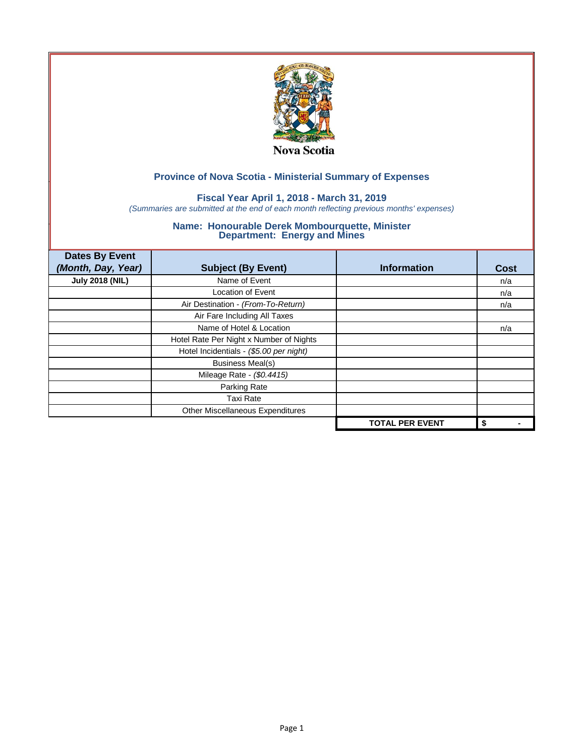

## **Fiscal Year April 1, 2018 - March 31, 2019**

*(Summaries are submitted at the end of each month reflecting previous months' expenses)*

| <b>Dates By Event</b><br>(Month, Day, Year) | <b>Subject (By Event)</b>               | <b>Information</b>     | <b>Cost</b> |
|---------------------------------------------|-----------------------------------------|------------------------|-------------|
| <b>July 2018 (NIL)</b>                      | Name of Event                           |                        | n/a         |
|                                             | <b>Location of Event</b>                |                        | n/a         |
|                                             | Air Destination - (From-To-Return)      |                        | n/a         |
|                                             | Air Fare Including All Taxes            |                        |             |
|                                             | Name of Hotel & Location                |                        | n/a         |
|                                             | Hotel Rate Per Night x Number of Nights |                        |             |
|                                             | Hotel Incidentials - (\$5.00 per night) |                        |             |
|                                             | <b>Business Meal(s)</b>                 |                        |             |
|                                             | Mileage Rate - (\$0.4415)               |                        |             |
|                                             | Parking Rate                            |                        |             |
|                                             | <b>Taxi Rate</b>                        |                        |             |
|                                             | Other Miscellaneous Expenditures        |                        |             |
|                                             |                                         | <b>TOTAL PER EVENT</b> | \$          |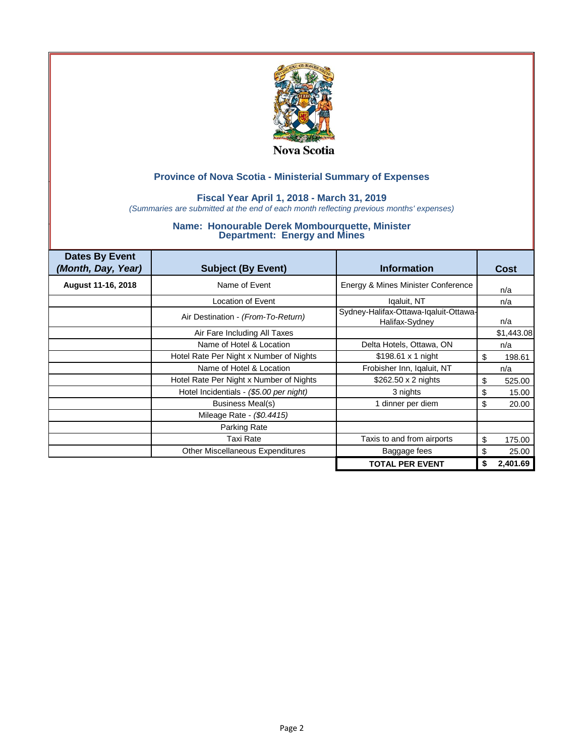

### **Fiscal Year April 1, 2018 - March 31, 2019**

*(Summaries are submitted at the end of each month reflecting previous months' expenses)*

| <b>Dates By Event</b><br>(Month, Day, Year) | <b>Subject (By Event)</b>               | <b>Information</b>                                      | Cost         |
|---------------------------------------------|-----------------------------------------|---------------------------------------------------------|--------------|
| August 11-16, 2018                          | Name of Event                           | Energy & Mines Minister Conference                      | n/a          |
|                                             | Location of Event                       | Igaluit, NT                                             | n/a          |
|                                             | Air Destination - (From-To-Return)      | Sydney-Halifax-Ottawa-Iqaluit-Ottawa-<br>Halifax-Sydney | n/a          |
|                                             | Air Fare Including All Taxes            |                                                         | \$1,443.08   |
|                                             | Name of Hotel & Location                | Delta Hotels, Ottawa, ON                                | n/a          |
|                                             | Hotel Rate Per Night x Number of Nights | $$198.61 \times 1$ night                                | \$<br>198.61 |
|                                             | Name of Hotel & Location                | Frobisher Inn, Iqaluit, NT                              | n/a          |
|                                             | Hotel Rate Per Night x Number of Nights | $$262.50 \times 2$ nights                               | \$<br>525.00 |
|                                             | Hotel Incidentials - (\$5.00 per night) | 3 nights                                                | \$<br>15.00  |
|                                             | Business Meal(s)                        | 1 dinner per diem                                       | \$<br>20.00  |
|                                             | Mileage Rate - (\$0.4415)               |                                                         |              |
|                                             | Parking Rate                            |                                                         |              |
|                                             | <b>Taxi Rate</b>                        | Taxis to and from airports                              | \$<br>175.00 |
|                                             | <b>Other Miscellaneous Expenditures</b> | Baggage fees                                            | S<br>25.00   |
|                                             |                                         | <b>TOTAL PER EVENT</b>                                  | 2,401.69     |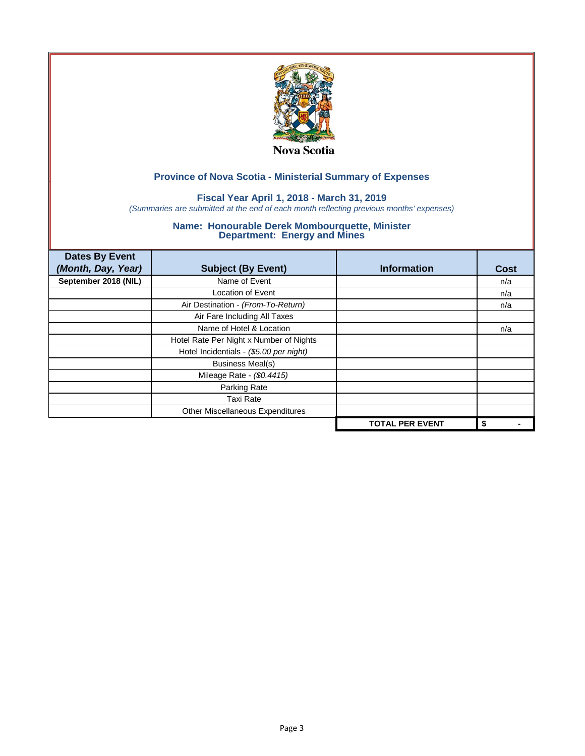

## **Fiscal Year April 1, 2018 - March 31, 2019**

*(Summaries are submitted at the end of each month reflecting previous months' expenses)*

| <b>Dates By Event</b><br>(Month, Day, Year) | <b>Subject (By Event)</b>               | <b>Information</b>     | <b>Cost</b> |
|---------------------------------------------|-----------------------------------------|------------------------|-------------|
| September 2018 (NIL)                        | Name of Event                           |                        | n/a         |
|                                             | <b>Location of Event</b>                |                        | n/a         |
|                                             | Air Destination - (From-To-Return)      |                        | n/a         |
|                                             | Air Fare Including All Taxes            |                        |             |
|                                             | Name of Hotel & Location                |                        | n/a         |
|                                             | Hotel Rate Per Night x Number of Nights |                        |             |
|                                             | Hotel Incidentials - (\$5.00 per night) |                        |             |
|                                             | <b>Business Meal(s)</b>                 |                        |             |
|                                             | Mileage Rate - (\$0.4415)               |                        |             |
|                                             | Parking Rate                            |                        |             |
|                                             | <b>Taxi Rate</b>                        |                        |             |
|                                             | Other Miscellaneous Expenditures        |                        |             |
|                                             |                                         | <b>TOTAL PER EVENT</b> | \$          |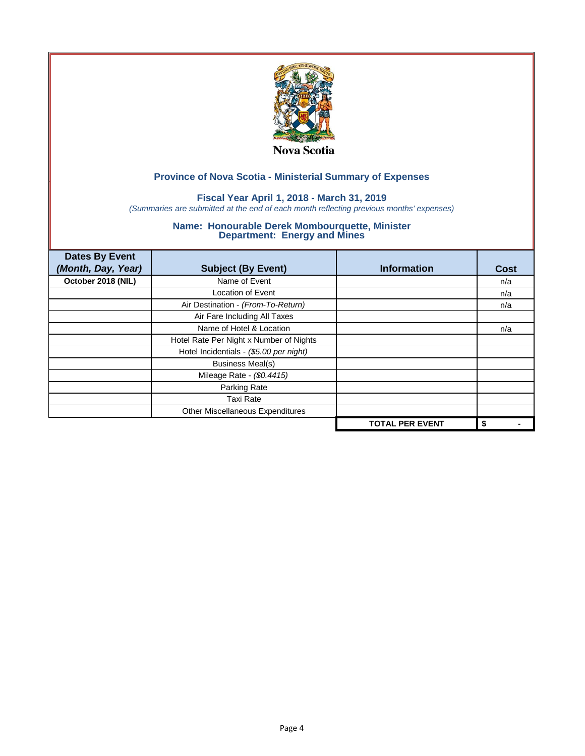

## **Fiscal Year April 1, 2018 - March 31, 2019**

*(Summaries are submitted at the end of each month reflecting previous months' expenses)*

| <b>Dates By Event</b><br>(Month, Day, Year) | <b>Subject (By Event)</b>               | <b>Information</b>     | Cost |
|---------------------------------------------|-----------------------------------------|------------------------|------|
| October 2018 (NIL)                          | Name of Event                           |                        | n/a  |
|                                             | <b>Location of Event</b>                |                        | n/a  |
|                                             | Air Destination - (From-To-Return)      |                        | n/a  |
|                                             | Air Fare Including All Taxes            |                        |      |
|                                             | Name of Hotel & Location                |                        | n/a  |
|                                             | Hotel Rate Per Night x Number of Nights |                        |      |
|                                             | Hotel Incidentials - (\$5.00 per night) |                        |      |
|                                             | <b>Business Meal(s)</b>                 |                        |      |
|                                             | Mileage Rate - (\$0.4415)               |                        |      |
|                                             | Parking Rate                            |                        |      |
|                                             | <b>Taxi Rate</b>                        |                        |      |
|                                             | Other Miscellaneous Expenditures        |                        |      |
|                                             |                                         | <b>TOTAL PER EVENT</b> | \$   |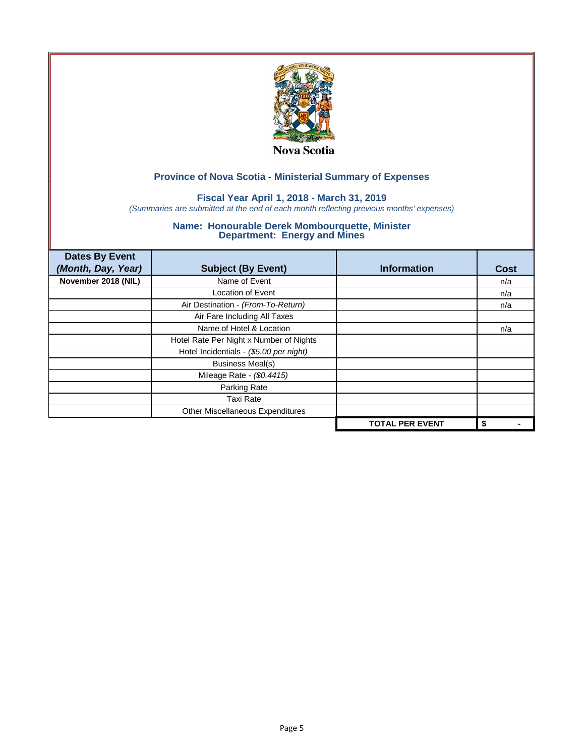

## **Fiscal Year April 1, 2018 - March 31, 2019**

*(Summaries are submitted at the end of each month reflecting previous months' expenses)*

| <b>Dates By Event</b><br>(Month, Day, Year) | <b>Subject (By Event)</b>               | <b>Information</b>     | Cost |
|---------------------------------------------|-----------------------------------------|------------------------|------|
| November 2018 (NIL)                         | Name of Event                           |                        | n/a  |
|                                             | <b>Location of Event</b>                |                        | n/a  |
|                                             | Air Destination - (From-To-Return)      |                        | n/a  |
|                                             | Air Fare Including All Taxes            |                        |      |
|                                             | Name of Hotel & Location                |                        | n/a  |
|                                             | Hotel Rate Per Night x Number of Nights |                        |      |
|                                             | Hotel Incidentials - (\$5.00 per night) |                        |      |
|                                             | <b>Business Meal(s)</b>                 |                        |      |
|                                             | Mileage Rate - (\$0.4415)               |                        |      |
|                                             | Parking Rate                            |                        |      |
|                                             | <b>Taxi Rate</b>                        |                        |      |
|                                             | Other Miscellaneous Expenditures        |                        |      |
|                                             |                                         | <b>TOTAL PER EVENT</b> | \$   |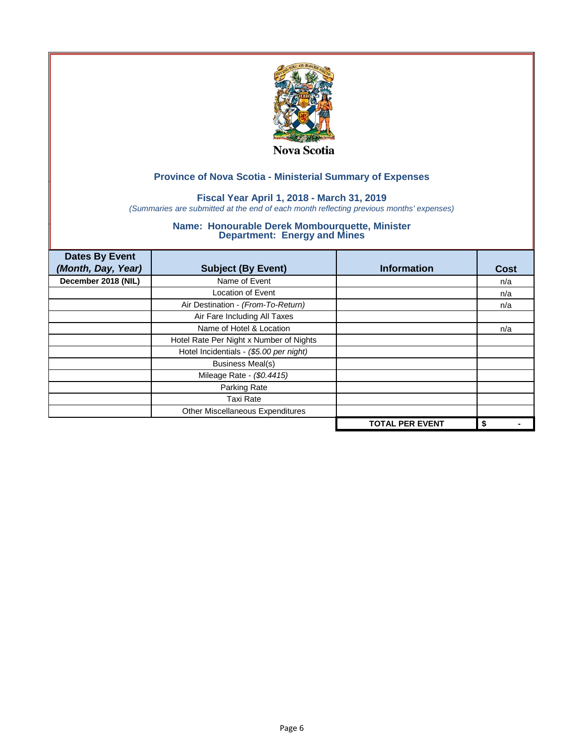

## **Fiscal Year April 1, 2018 - March 31, 2019**

*(Summaries are submitted at the end of each month reflecting previous months' expenses)*

| <b>Dates By Event</b><br>(Month, Day, Year) | <b>Subject (By Event)</b>               | <b>Information</b>     | Cost |
|---------------------------------------------|-----------------------------------------|------------------------|------|
| December 2018 (NIL)                         | Name of Event                           |                        | n/a  |
|                                             | <b>Location of Event</b>                |                        | n/a  |
|                                             | Air Destination - (From-To-Return)      |                        | n/a  |
|                                             | Air Fare Including All Taxes            |                        |      |
|                                             | Name of Hotel & Location                |                        | n/a  |
|                                             | Hotel Rate Per Night x Number of Nights |                        |      |
|                                             | Hotel Incidentials - (\$5.00 per night) |                        |      |
|                                             | <b>Business Meal(s)</b>                 |                        |      |
|                                             | Mileage Rate - (\$0.4415)               |                        |      |
|                                             | Parking Rate                            |                        |      |
|                                             | <b>Taxi Rate</b>                        |                        |      |
|                                             | Other Miscellaneous Expenditures        |                        |      |
|                                             |                                         | <b>TOTAL PER EVENT</b> | \$   |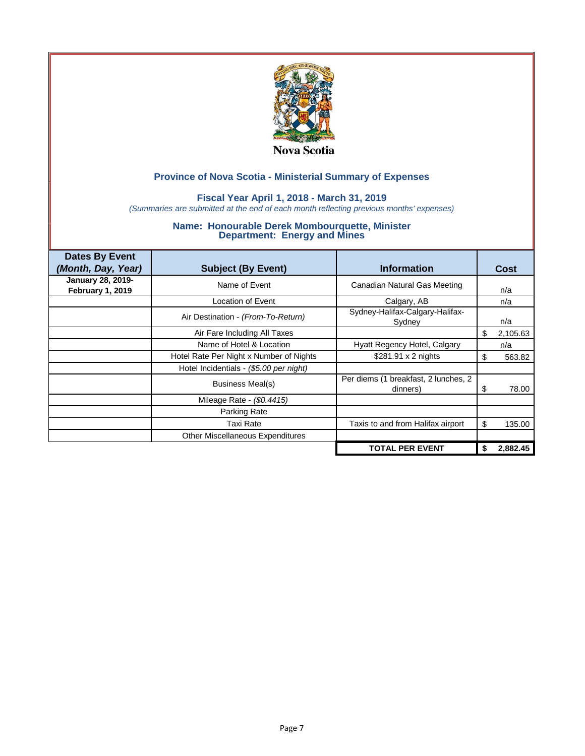

### **Fiscal Year April 1, 2018 - March 31, 2019**

*(Summaries are submitted at the end of each month reflecting previous months' expenses)*

| <b>Dates By Event</b><br>(Month, Day, Year)  | <b>Subject (By Event)</b>               | <b>Information</b>                               | <b>Cost</b> |          |
|----------------------------------------------|-----------------------------------------|--------------------------------------------------|-------------|----------|
| January 28, 2019-<br><b>February 1, 2019</b> | Name of Event                           | Canadian Natural Gas Meeting                     | n/a         |          |
|                                              | Location of Event                       | Calgary, AB                                      | n/a         |          |
|                                              | Air Destination - (From-To-Return)      | Sydney-Halifax-Calgary-Halifax-<br>Sydney        | n/a         |          |
|                                              | Air Fare Including All Taxes            |                                                  | \$          | 2,105.63 |
|                                              | Name of Hotel & Location                | Hyatt Regency Hotel, Calgary                     | n/a         |          |
|                                              | Hotel Rate Per Night x Number of Nights | \$281.91 x 2 nights                              | S           | 563.82   |
|                                              | Hotel Incidentials - (\$5.00 per night) |                                                  |             |          |
|                                              | Business Meal(s)                        | Per diems (1 breakfast, 2 lunches, 2<br>dinners) | S           | 78.00    |
|                                              | Mileage Rate - (\$0.4415)               |                                                  |             |          |
|                                              | Parking Rate                            |                                                  |             |          |
|                                              | Taxi Rate                               | Taxis to and from Halifax airport                | S           | 135.00   |
|                                              | Other Miscellaneous Expenditures        |                                                  |             |          |
|                                              |                                         | <b>TOTAL PER EVENT</b>                           | S           | 2,882.45 |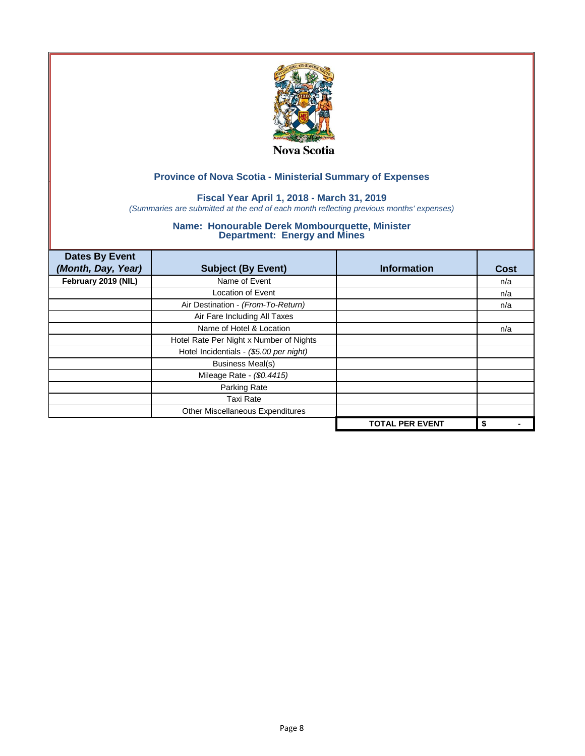

## **Fiscal Year April 1, 2018 - March 31, 2019**

*(Summaries are submitted at the end of each month reflecting previous months' expenses)*

| <b>Dates By Event</b><br>(Month, Day, Year) | <b>Subject (By Event)</b>               | <b>Information</b>     | Cost |
|---------------------------------------------|-----------------------------------------|------------------------|------|
| February 2019 (NIL)                         | Name of Event                           |                        | n/a  |
|                                             | <b>Location of Event</b>                |                        | n/a  |
|                                             | Air Destination - (From-To-Return)      |                        | n/a  |
|                                             | Air Fare Including All Taxes            |                        |      |
|                                             | Name of Hotel & Location                |                        | n/a  |
|                                             | Hotel Rate Per Night x Number of Nights |                        |      |
|                                             | Hotel Incidentials - (\$5.00 per night) |                        |      |
|                                             | <b>Business Meal(s)</b>                 |                        |      |
|                                             | Mileage Rate - (\$0.4415)               |                        |      |
|                                             | Parking Rate                            |                        |      |
|                                             | <b>Taxi Rate</b>                        |                        |      |
|                                             | Other Miscellaneous Expenditures        |                        |      |
|                                             |                                         | <b>TOTAL PER EVENT</b> | \$   |